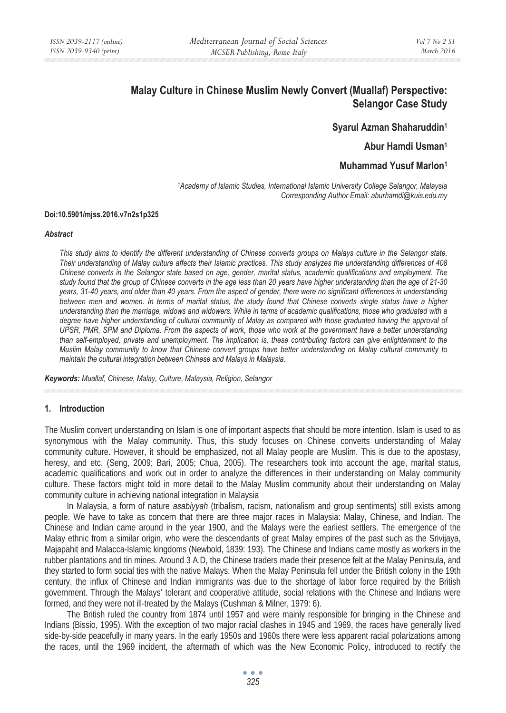# **Malay Culture in Chinese Muslim Newly Convert (Muallaf) Perspective: Selangor Case Study**

### **Syarul Azman Shaharuddin1**

### **Abur Hamdi Usman1**

### **Muhammad Yusuf Marlon1**

*1Academy of Islamic Studies, International Islamic University College Selangor, Malaysia Corresponding Author Email: aburhamdi@kuis.edu.my* 

#### **Doi:10.5901/mjss.2016.v7n2s1p325**

#### *Abstract*

*This study aims to identify the different understanding of Chinese converts groups on Malays culture in the Selangor state. Their understanding of Malay culture affects their Islamic practices. This study analyzes the understanding differences of 408 Chinese converts in the Selangor state based on age, gender, marital status, academic qualifications and employment. The study found that the group of Chinese converts in the age less than 20 years have higher understanding than the age of 21-30 years, 31-40 years, and older than 40 years. From the aspect of gender, there were no significant differences in understanding between men and women. In terms of marital status, the study found that Chinese converts single status have a higher understanding than the marriage, widows and widowers. While in terms of academic qualifications, those who graduated with a*  degree have higher understanding of cultural community of Malay as compared with those graduated having the approval of *UPSR, PMR, SPM and Diploma. From the aspects of work, those who work at the government have a better understanding than self-employed, private and unemployment. The implication is, these contributing factors can give enlightenment to the Muslim Malay community to know that Chinese convert groups have better understanding on Malay cultural community to maintain the cultural integration between Chinese and Malays in Malaysia.* 

*Keywords: Muallaf, Chinese, Malay, Culture, Malaysia, Religion, Selangor* 

#### **1. Introduction**

The Muslim convert understanding on Islam is one of important aspects that should be more intention. Islam is used to as synonymous with the Malay community. Thus, this study focuses on Chinese converts understanding of Malay community culture. However, it should be emphasized, not all Malay people are Muslim. This is due to the apostasy, heresy, and etc. (Seng, 2009; Bari, 2005; Chua, 2005). The researchers took into account the age, marital status, academic qualifications and work out in order to analyze the differences in their understanding on Malay community culture. These factors might told in more detail to the Malay Muslim community about their understanding on Malay community culture in achieving national integration in Malaysia

In Malaysia, a form of nature *asabiyyah* (tribalism, racism, nationalism and group sentiments) still exists among people. We have to take as concern that there are three major races in Malaysia: Malay, Chinese, and Indian. The Chinese and Indian came around in the year 1900, and the Malays were the earliest settlers. The emergence of the Malay ethnic from a similar origin, who were the descendants of great Malay empires of the past such as the Srivijaya, Majapahit and Malacca-Islamic kingdoms (Newbold, 1839: 193). The Chinese and Indians came mostly as workers in the rubber plantations and tin mines. Around 3 A.D, the Chinese traders made their presence felt at the Malay Peninsula, and they started to form social ties with the native Malays. When the Malay Peninsula fell under the British colony in the 19th century, the influx of Chinese and Indian immigrants was due to the shortage of labor force required by the British government. Through the Malays' tolerant and cooperative attitude, social relations with the Chinese and Indians were formed, and they were not ill-treated by the Malays (Cushman & Milner, 1979: 6).

The British ruled the country from 1874 until 1957 and were mainly responsible for bringing in the Chinese and Indians (Bissio, 1995). With the exception of two major racial clashes in 1945 and 1969, the races have generally lived side-by-side peacefully in many years. In the early 1950s and 1960s there were less apparent racial polarizations among the races, until the 1969 incident, the aftermath of which was the New Economic Policy, introduced to rectify the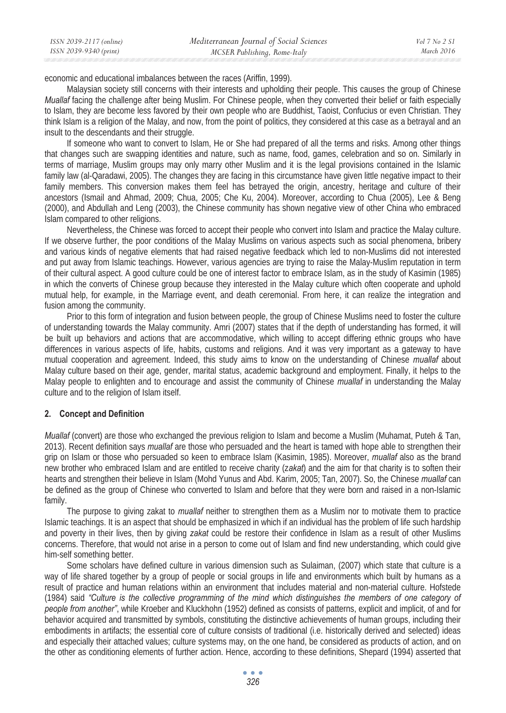| ISSN 2039-2117 (online) | Mediterranean Journal of Social Sciences | Vol 7 No 2 S1 |
|-------------------------|------------------------------------------|---------------|
| ISSN 2039-9340 (print)  | MCSER Publishing, Rome-Italy             | March 2016    |

economic and educational imbalances between the races (Ariffin, 1999).

Malaysian society still concerns with their interests and upholding their people. This causes the group of Chinese *Muallaf* facing the challenge after being Muslim. For Chinese people, when they converted their belief or faith especially to Islam, they are become less favored by their own people who are Buddhist, Taoist, Confucius or even Christian. They think Islam is a religion of the Malay, and now, from the point of politics, they considered at this case as a betrayal and an insult to the descendants and their struggle.

If someone who want to convert to Islam, He or She had prepared of all the terms and risks. Among other things that changes such are swapping identities and nature, such as name, food, games, celebration and so on. Similarly in terms of marriage, Muslim groups may only marry other Muslim and it is the legal provisions contained in the Islamic family law (al-Qaradawi, 2005). The changes they are facing in this circumstance have given little negative impact to their family members. This conversion makes them feel has betrayed the origin, ancestry, heritage and culture of their ancestors (Ismail and Ahmad, 2009; Chua, 2005; Che Ku, 2004). Moreover, according to Chua (2005), Lee & Beng (2000), and Abdullah and Leng (2003), the Chinese community has shown negative view of other China who embraced Islam compared to other religions.

Nevertheless, the Chinese was forced to accept their people who convert into Islam and practice the Malay culture. If we observe further, the poor conditions of the Malay Muslims on various aspects such as social phenomena, bribery and various kinds of negative elements that had raised negative feedback which led to non-Muslims did not interested and put away from Islamic teachings. However, various agencies are trying to raise the Malay-Muslim reputation in term of their cultural aspect. A good culture could be one of interest factor to embrace Islam, as in the study of Kasimin (1985) in which the converts of Chinese group because they interested in the Malay culture which often cooperate and uphold mutual help, for example, in the Marriage event, and death ceremonial. From here, it can realize the integration and fusion among the community.

Prior to this form of integration and fusion between people, the group of Chinese Muslims need to foster the culture of understanding towards the Malay community. Amri (2007) states that if the depth of understanding has formed, it will be built up behaviors and actions that are accommodative, which willing to accept differing ethnic groups who have differences in various aspects of life, habits, customs and religions. And it was very important as a gateway to have mutual cooperation and agreement. Indeed, this study aims to know on the understanding of Chinese *muallaf* about Malay culture based on their age, gender, marital status, academic background and employment. Finally, it helps to the Malay people to enlighten and to encourage and assist the community of Chinese *muallaf* in understanding the Malay culture and to the religion of Islam itself.

### **2. Concept and Definition**

*Muallaf* (convert) are those who exchanged the previous religion to Islam and become a Muslim (Muhamat, Puteh & Tan, 2013). Recent definition says *muallaf* are those who persuaded and the heart is tamed with hope able to strengthen their grip on Islam or those who persuaded so keen to embrace Islam (Kasimin, 1985). Moreover, *muallaf* also as the brand new brother who embraced Islam and are entitled to receive charity (z*akat*) and the aim for that charity is to soften their hearts and strengthen their believe in Islam (Mohd Yunus and Abd. Karim, 2005; Tan, 2007). So, the Chinese *muallaf* can be defined as the group of Chinese who converted to Islam and before that they were born and raised in a non-Islamic family.

The purpose to giving zakat to *muallaf* neither to strengthen them as a Muslim nor to motivate them to practice Islamic teachings. It is an aspect that should be emphasized in which if an individual has the problem of life such hardship and poverty in their lives, then by giving *zakat* could be restore their confidence in Islam as a result of other Muslims concerns. Therefore, that would not arise in a person to come out of Islam and find new understanding, which could give him-self something better.

Some scholars have defined culture in various dimension such as Sulaiman, (2007) which state that culture is a way of life shared together by a group of people or social groups in life and environments which built by humans as a result of practice and human relations within an environment that includes material and non-material culture. Hofstede (1984) said *"Culture is the collective programming of the mind which distinguishes the members of one category of people from another"*, while Kroeber and Kluckhohn (1952) defined as consists of patterns, explicit and implicit, of and for behavior acquired and transmitted by symbols, constituting the distinctive achievements of human groups, including their embodiments in artifacts; the essential core of culture consists of traditional (i.e. historically derived and selected) ideas and especially their attached values; culture systems may, on the one hand, be considered as products of action, and on the other as conditioning elements of further action. Hence, according to these definitions, Shepard (1994) asserted that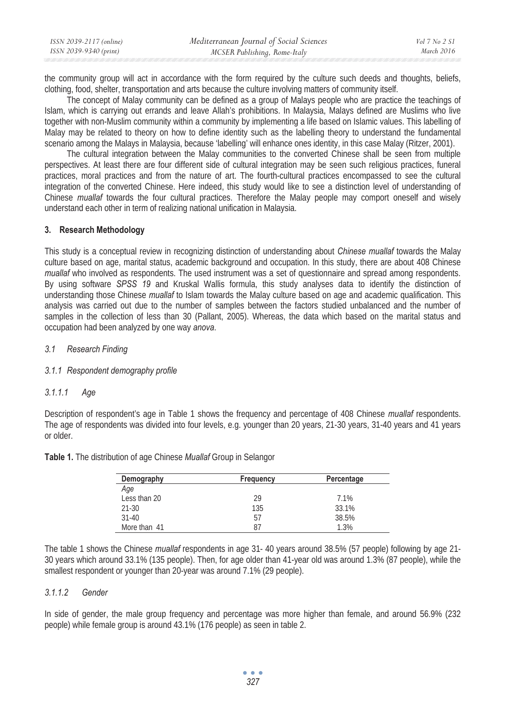| ISSN 2039-2117 (online) | Mediterranean Journal of Social Sciences | Vol 7 No 2 S1 |
|-------------------------|------------------------------------------|---------------|
| ISSN 2039-9340 (print)  | MCSER Publishing, Rome-Italy             | March 2016    |

the community group will act in accordance with the form required by the culture such deeds and thoughts, beliefs, clothing, food, shelter, transportation and arts because the culture involving matters of community itself.

The concept of Malay community can be defined as a group of Malays people who are practice the teachings of Islam, which is carrying out errands and leave Allah's prohibitions. In Malaysia, Malays defined are Muslims who live together with non-Muslim community within a community by implementing a life based on Islamic values. This labelling of Malay may be related to theory on how to define identity such as the labelling theory to understand the fundamental scenario among the Malays in Malaysia, because 'labelling' will enhance ones identity, in this case Malay (Ritzer, 2001).

The cultural integration between the Malay communities to the converted Chinese shall be seen from multiple perspectives. At least there are four different side of cultural integration may be seen such religious practices, funeral practices, moral practices and from the nature of art. The fourth-cultural practices encompassed to see the cultural integration of the converted Chinese. Here indeed, this study would like to see a distinction level of understanding of Chinese *muallaf* towards the four cultural practices. Therefore the Malay people may comport oneself and wisely understand each other in term of realizing national unification in Malaysia.

### **3. Research Methodology**

This study is a conceptual review in recognizing distinction of understanding about *Chinese muallaf* towards the Malay culture based on age, marital status, academic background and occupation. In this study, there are about 408 Chinese *muallaf* who involved as respondents. The used instrument was a set of questionnaire and spread among respondents. By using software *SPSS 19* and Kruskal Wallis formula, this study analyses data to identify the distinction of understanding those Chinese *muallaf* to Islam towards the Malay culture based on age and academic qualification. This analysis was carried out due to the number of samples between the factors studied unbalanced and the number of samples in the collection of less than 30 (Pallant, 2005). Whereas, the data which based on the marital status and occupation had been analyzed by one way *anova*.

#### *3.1 Research Finding*

### *3.1.1 Respondent demography profile*

### *3.1.1.1 Age*

Description of respondent's age in Table 1 shows the frequency and percentage of 408 Chinese *muallaf* respondents. The age of respondents was divided into four levels, e.g. younger than 20 years, 21-30 years, 31-40 years and 41 years or older.

| Demography   | Frequency | Percentage |
|--------------|-----------|------------|
| Age          |           |            |
| Less than 20 | 29        | 7.1%       |
| $21 - 30$    | 135       | 33.1%      |
| $31-40$      | 57        | 38.5%      |
| More than 41 | 87        | 1.3%       |

**Table 1.** The distribution of age Chinese *Muallaf* Group in Selangor

The table 1 shows the Chinese *muallaf* respondents in age 31- 40 years around 38.5% (57 people) following by age 21- 30 years which around 33.1% (135 people). Then, for age older than 41-year old was around 1.3% (87 people), while the smallest respondent or younger than 20-year was around 7.1% (29 people).

#### *3.1.1.2 Gender*

In side of gender, the male group frequency and percentage was more higher than female, and around 56.9% (232 people) while female group is around 43.1% (176 people) as seen in table 2.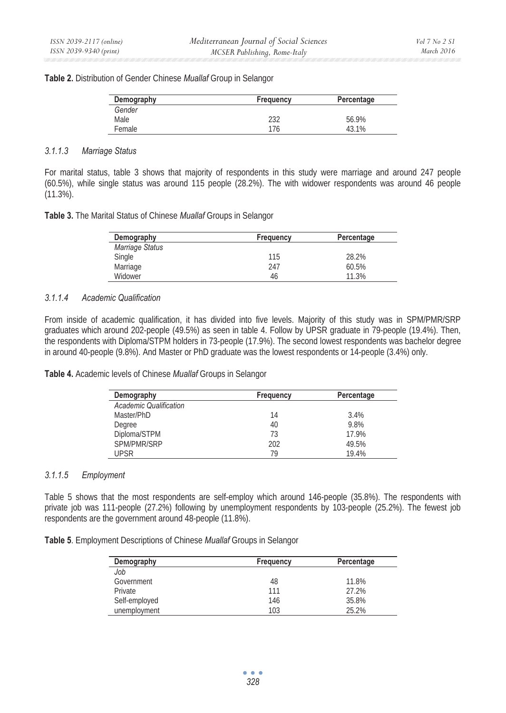### **Table 2.** Distribution of Gender Chinese *Muallaf* Group in Selangor

| Demography | Frequency | Percentage |
|------------|-----------|------------|
| Gender     |           |            |
| Male       | 232       | 56.9%      |
| Female     | 176       | 43.1%      |

## *3.1.1.3 Marriage Status*

For marital status, table 3 shows that majority of respondents in this study were marriage and around 247 people (60.5%), while single status was around 115 people (28.2%). The with widower respondents was around 46 people (11.3%).

|  | Table 3. The Marital Status of Chinese Muallaf Groups in Selangor |  |  |  |  |  |
|--|-------------------------------------------------------------------|--|--|--|--|--|
|--|-------------------------------------------------------------------|--|--|--|--|--|

| Demography      | Frequency | Percentage |
|-----------------|-----------|------------|
| Marriage Status |           |            |
| Single          | 115       | 28.2%      |
| Marriage        | 247       | 60.5%      |
| Widower         | 46        | 11.3%      |

### *3.1.1.4 Academic Qualification*

From inside of academic qualification, it has divided into five levels. Majority of this study was in SPM/PMR/SRP graduates which around 202-people (49.5%) as seen in table 4. Follow by UPSR graduate in 79-people (19.4%). Then, the respondents with Diploma/STPM holders in 73-people (17.9%). The second lowest respondents was bachelor degree in around 40-people (9.8%). And Master or PhD graduate was the lowest respondents or 14-people (3.4%) only.

**Table 4.** Academic levels of Chinese *Muallaf* Groups in Selangor

| Demography                    | Frequency | Percentage |
|-------------------------------|-----------|------------|
| <b>Academic Qualification</b> |           |            |
| Master/PhD                    | 14        | 3.4%       |
| Degree                        | 40        | 9.8%       |
| Diploma/STPM                  | 73        | 17.9%      |
| SPM/PMR/SRP                   | 202       | 49.5%      |
| <b>UPSR</b>                   | 79        | 19.4%      |

### *3.1.1.5 Employment*

Table 5 shows that the most respondents are self-employ which around 146-people (35.8%). The respondents with private job was 111-people (27.2%) following by unemployment respondents by 103-people (25.2%). The fewest job respondents are the government around 48-people (11.8%).

**Table 5**. Employment Descriptions of Chinese *Muallaf* Groups in Selangor

| Demography    | Frequency | Percentage |
|---------------|-----------|------------|
| Job           |           |            |
| Government    | 48        | 11.8%      |
| Private       | 111       | 27.2%      |
| Self-employed | 146       | 35.8%      |
| unemployment  | 103       | 25.2%      |

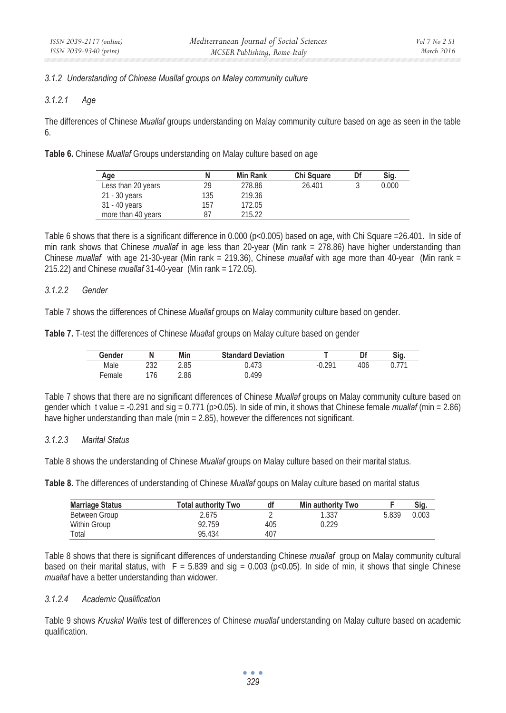### *3.1.2 Understanding of Chinese Muallaf groups on Malay community culture*

### *3.1.2.1 Age*

The differences of Chinese *Muallaf* groups understanding on Malay community culture based on age as seen in the table 6.

**Table 6.** Chinese *Muallaf* Groups understanding on Malay culture based on age

| Age                | N   | <b>Min Rank</b> | Chi Square | Df | Sig.  |
|--------------------|-----|-----------------|------------|----|-------|
| Less than 20 years | 29  | 278.86          | 26.401     |    | 0.000 |
| 21 - 30 years      | 135 | 219.36          |            |    |       |
| 31 - 40 years      | 157 | 172.05          |            |    |       |
| more than 40 years | 87  | 215.22          |            |    |       |

Table 6 shows that there is a significant difference in 0.000 (p<0.005) based on age, with Chi Square =26.401. In side of min rank shows that Chinese *muallaf* in age less than 20-year (Min rank = 278.86) have higher understanding than Chinese *muallaf* with age 21-30-year (Min rank = 219.36), Chinese *muallaf* with age more than 40-year (Min rank = 215.22) and Chinese *muallaf* 31-40-year (Min rank = 172.05).

### *3.1.2.2 Gender*

Table 7 shows the differences of Chinese *Muallaf* groups on Malay community culture based on gender.

**Table 7.** T-test the differences of Chinese *Mualla*f groups on Malay culture based on gender

| Gender | N          | Min  | <b>Standard Deviation</b> |     | Df  | Sig. |
|--------|------------|------|---------------------------|-----|-----|------|
| Male   | าวา<br>ے ت | 2.85 | .473<br>ບ.'               | 201 | 406 |      |
| emale  | 76         | 2.86 | .499                      |     |     |      |

Table 7 shows that there are no significant differences of Chinese *Muallaf* groups on Malay community culture based on gender which t value = -0.291 and sig = 0.771 (p>0.05). In side of min, it shows that Chinese female *muallaf* (min = 2.86) have higher understanding than male (min = 2.85), however the differences not significant.

### *3.1.2.3 Marital Status*

Table 8 shows the understanding of Chinese *Muallaf* groups on Malay culture based on their marital status.

**Table 8.** The differences of understanding of Chinese *Muallaf* goups on Malay culture based on marital status

| <b>Marriage Status</b> | Total authoritv Two | df  | <b>Min authority Two</b> |       | Sig.  |
|------------------------|---------------------|-----|--------------------------|-------|-------|
| Between Group          | 2.675               |     | 1.337                    | 5.839 | 0.003 |
| Within Group           | 92.759              | 405 | 0.229                    |       |       |
| Total                  | 95.434              | 407 |                          |       |       |

Table 8 shows that there is significant differences of understanding Chinese *muallaf* group on Malay community cultural based on their marital status, with  $F = 5.839$  and sig = 0.003 (p<0.05). In side of min, it shows that single Chinese *muallaf* have a better understanding than widower.

### *3.1.2.4 Academic Qualification*

Table 9 shows *Kruskal Wallis* test of differences of Chinese *muallaf* understanding on Malay culture based on academic qualification.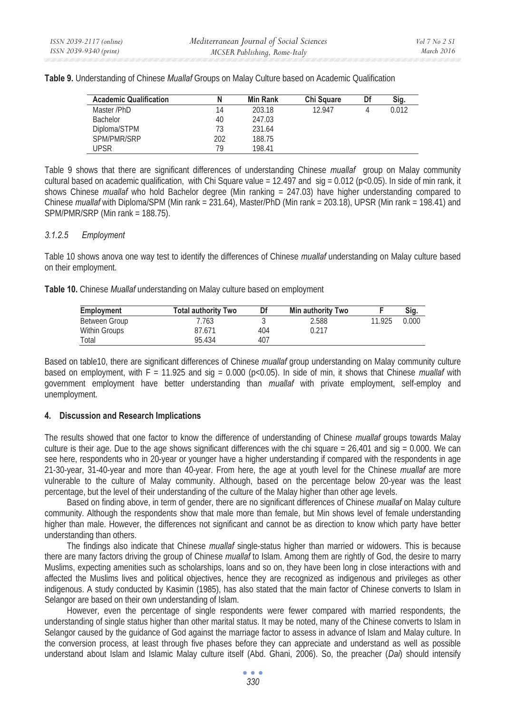| <b>Academic Qualification</b> |     | <b>Min Rank</b> | <b>Chi Square</b> | Df | Sig.  |
|-------------------------------|-----|-----------------|-------------------|----|-------|
| Master /PhD                   | 14  | 203.18          | 12.947            |    | 0.012 |
| <b>Bachelor</b>               | 40  | 247.03          |                   |    |       |
| Diploma/STPM                  | 73  | 231.64          |                   |    |       |
| SPM/PMR/SRP                   | 202 | 188.75          |                   |    |       |
| UPSR                          | 79  | 198.41          |                   |    |       |

**Table 9.** Understanding of Chinese *Muallaf* Groups on Malay Culture based on Academic Qualification

Table 9 shows that there are significant differences of understanding Chinese *muallaf* group on Malay community cultural based on academic qualification, with Chi Square value =  $12.497$  and sig =  $0.012$  (p<0.05). In side of min rank, it shows Chinese *muallaf* who hold Bachelor degree (Min ranking = 247.03) have higher understanding compared to Chinese *muallaf* with Diploma/SPM (Min rank = 231.64), Master/PhD (Min rank = 203.18), UPSR (Min rank = 198.41) and SPM/PMR/SRP (Min rank = 188.75).

### *3.1.2.5 Employment*

Table 10 shows anova one way test to identify the differences of Chinese *muallaf* understanding on Malay culture based on their employment.

**Table 10.** Chinese *Muallaf* understanding on Malay culture based on employment

| <b>Employment</b> | <b>Total authority Two</b> | Df  | <b>Min authority Two</b> |        | Sig.  |
|-------------------|----------------------------|-----|--------------------------|--------|-------|
| Between Group     | 7.763                      |     | 2.588                    | 11.925 | 0.000 |
| Within Groups     | 87.671                     | 404 | 0.217                    |        |       |
| Total             | 95.434                     | 407 |                          |        |       |

Based on table10, there are significant differences of Chinese *muallaf* group understanding on Malay community culture based on employment, with  $\bar{F} = 11.925$  and sig = 0.000 (p<0.05). In side of min, it shows that Chinese *muallaf* with government employment have better understanding than *muallaf* with private employment, self-employ and unemployment.

### **4. Discussion and Research Implications**

The results showed that one factor to know the difference of understanding of Chinese *muallaf* groups towards Malay culture is their age. Due to the age shows significant differences with the chi square =  $26,401$  and sig = 0.000. We can see here, respondents who in 20-year or younger have a higher understanding if compared with the respondents in age 21-30-year, 31-40-year and more than 40-year. From here, the age at youth level for the Chinese *muallaf* are more vulnerable to the culture of Malay community. Although, based on the percentage below 20-year was the least percentage, but the level of their understanding of the culture of the Malay higher than other age levels.

Based on finding above, in term of gender, there are no significant differences of Chinese *muallaf* on Malay culture community. Although the respondents show that male more than female, but Min shows level of female understanding higher than male. However, the differences not significant and cannot be as direction to know which party have better understanding than others.

The findings also indicate that Chinese *muallaf* single-status higher than married or widowers. This is because there are many factors driving the group of Chinese *muallaf* to Islam. Among them are rightly of God, the desire to marry Muslims, expecting amenities such as scholarships, loans and so on, they have been long in close interactions with and affected the Muslims lives and political objectives, hence they are recognized as indigenous and privileges as other indigenous. A study conducted by Kasimin (1985), has also stated that the main factor of Chinese converts to Islam in Selangor are based on their own understanding of Islam.

However, even the percentage of single respondents were fewer compared with married respondents, the understanding of single status higher than other marital status. It may be noted, many of the Chinese converts to Islam in Selangor caused by the guidance of God against the marriage factor to assess in advance of Islam and Malay culture. In the conversion process, at least through five phases before they can appreciate and understand as well as possible understand about Islam and Islamic Malay culture itself (Abd. Ghani, 2006). So, the preacher (*Dai*) should intensify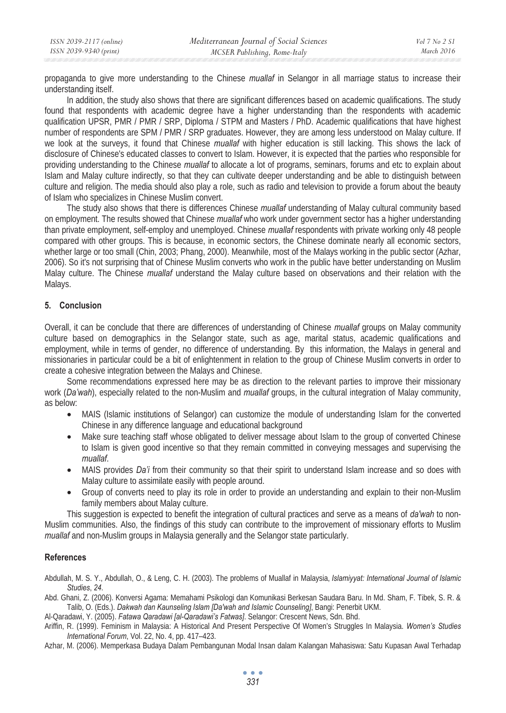| ISSN 2039-2117 (online) | Mediterranean Journal of Social Sciences | Vol 7 No 2 S1 |
|-------------------------|------------------------------------------|---------------|
| ISSN 2039-9340 (print)  | MCSER Publishing, Rome-Italy             | March 2016    |

propaganda to give more understanding to the Chinese *muallaf* in Selangor in all marriage status to increase their understanding itself.

In addition, the study also shows that there are significant differences based on academic qualifications. The study found that respondents with academic degree have a higher understanding than the respondents with academic qualification UPSR, PMR / PMR / SRP, Diploma / STPM and Masters / PhD. Academic qualifications that have highest number of respondents are SPM / PMR / SRP graduates. However, they are among less understood on Malay culture. If we look at the surveys, it found that Chinese *muallaf* with higher education is still lacking. This shows the lack of disclosure of Chinese's educated classes to convert to Islam. However, it is expected that the parties who responsible for providing understanding to the Chinese *muallaf* to allocate a lot of programs, seminars, forums and etc to explain about Islam and Malay culture indirectly, so that they can cultivate deeper understanding and be able to distinguish between culture and religion. The media should also play a role, such as radio and television to provide a forum about the beauty of Islam who specializes in Chinese Muslim convert.

The study also shows that there is differences Chinese *muallaf* understanding of Malay cultural community based on employment. The results showed that Chinese *muallaf* who work under government sector has a higher understanding than private employment, self-employ and unemployed. Chinese *muallaf* respondents with private working only 48 people compared with other groups. This is because, in economic sectors, the Chinese dominate nearly all economic sectors, whether large or too small (Chin, 2003; Phang, 2000). Meanwhile, most of the Malays working in the public sector (Azhar, 2006). So it's not surprising that of Chinese Muslim converts who work in the public have better understanding on Muslim Malay culture. The Chinese *muallaf* understand the Malay culture based on observations and their relation with the Malays.

## **5. Conclusion**

Overall, it can be conclude that there are differences of understanding of Chinese *muallaf* groups on Malay community culture based on demographics in the Selangor state, such as age, marital status, academic qualifications and employment, while in terms of gender, no difference of understanding. By this information, the Malays in general and missionaries in particular could be a bit of enlightenment in relation to the group of Chinese Muslim converts in order to create a cohesive integration between the Malays and Chinese.

Some recommendations expressed here may be as direction to the relevant parties to improve their missionary work (*Da'wah*), especially related to the non-Muslim and *muallaf* groups, in the cultural integration of Malay community, as below:

- MAIS (Islamic institutions of Selangor) can customize the module of understanding Islam for the converted Chinese in any difference language and educational background
- Make sure teaching staff whose obligated to deliver message about Islam to the group of converted Chinese to Islam is given good incentive so that they remain committed in conveying messages and supervising the *muallaf*.
- MAIS provides *Da'i* from their community so that their spirit to understand Islam increase and so does with Malay culture to assimilate easily with people around.
- Group of converts need to play its role in order to provide an understanding and explain to their non-Muslim family members about Malay culture.

This suggestion is expected to benefit the integration of cultural practices and serve as a means of *da'wah* to non-Muslim communities. Also, the findings of this study can contribute to the improvement of missionary efforts to Muslim *muallaf* and non-Muslim groups in Malaysia generally and the Selangor state particularly.

### **References**

Abdullah, M. S. Y., Abdullah, O., & Leng, C. H. (2003). The problems of Muallaf in Malaysia, *Islamiyyat: International Journal of Islamic Studies*, *24*.

Abd. Ghani, Z. (2006). Konversi Agama: Memahami Psikologi dan Komunikasi Berkesan Saudara Baru. In Md. Sham, F. Tibek, S. R. & Talib, O. (Eds.). *Dakwah dan Kaunseling Islam [Da'wah and Islamic Counseling]*, Bangi: Penerbit UKM.

Al-Qaradawi, Y. (2005). *Fatawa Qaradawi [al-Qaradawi's Fatwas]*. Selangor: Crescent News, Sdn. Bhd.

Ariffin, R. (1999). Feminism in Malaysia: A Historical And Present Perspective Of Women's Struggles In Malaysia. *Women's Studies International Forum*, Vol. 22, No. 4, pp. 417–423.

Azhar, M. (2006). Memperkasa Budaya Dalam Pembangunan Modal Insan dalam Kalangan Mahasiswa: Satu Kupasan Awal Terhadap